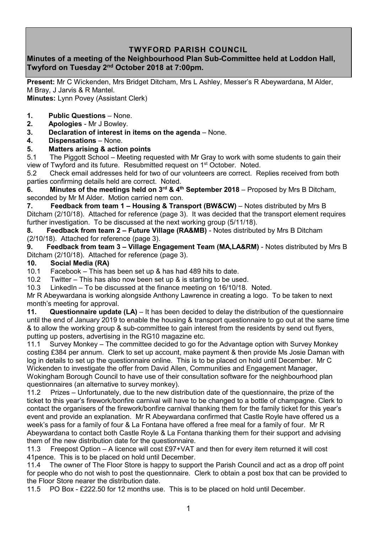## **TWYFORD PARISH COUNCIL**

## **Minutes of a meeting of the Neighbourhood Plan Sub-Committee held at Loddon Hall, Twyford on Tuesday 2 nd October 2018 at 7:00pm.**

**Present:** Mr C Wickenden, Mrs Bridget Ditcham, Mrs L Ashley, Messer's R Abeywardana, M Alder, M Bray, J Jarvis & R Mantel.

**Minutes:** Lynn Povey (Assistant Clerk)

- **1. Public Questions** None.
- **2. Apologies** Mr J Bowley.
- **3. Declaration of interest in items on the agenda** None.
- **4. Dispensations**  None.

### **5. Matters arising & action points**

5.1 The Piggott School – Meeting requested with Mr Gray to work with some students to gain their view of Twyford and its future. Resubmitted request on 1st October. Noted.

5.2 Check email addresses held for two of our volunteers are correct. Replies received from both parties confirming details held are correct. Noted.

**6.** Minutes of the meetings held on 3<sup>rd</sup> & 4<sup>th</sup> September 2018 – Proposed by Mrs B Ditcham, seconded by Mr M Alder. Motion carried nem con.

**7. Feedback from team 1 – Housing & Transport (BW&CW)** – Notes distributed by Mrs B Ditcham (2/10/18). Attached for reference (page 3). It was decided that the transport element requires further investigation. To be discussed at the next working group (5/11/18).

**8. Feedback from team 2 – Future Village (RA&MB)** - Notes distributed by Mrs B Ditcham (2/10/18). Attached for reference (page 3).

**9. Feedback from team 3 – Village Engagement Team (MA,LA&RM)** - Notes distributed by Mrs B Ditcham (2/10/18). Attached for reference (page 3).

#### **10. Social Media (RA)**

10.1 Facebook – This has been set up & has had 489 hits to date.

10.2 Twitter – This has also now been set up & is starting to be used.

10.3 LinkedIn – To be discussed at the finance meeting on 16/10/18. Noted.

Mr R Abeywardana is working alongside Anthony Lawrence in creating a logo. To be taken to next month's meeting for approval.

**11. Questionnaire update (LA)** – It has been decided to delay the distribution of the questionnaire until the end of January 2019 to enable the housing & transport questionnaire to go out at the same time & to allow the working group & sub-committee to gain interest from the residents by send out flyers, putting up posters, advertising in the RG10 magazine etc.

11.1 Survey Monkey – The committee decided to go for the Advantage option with Survey Monkey costing £384 per annum. Clerk to set up account, make payment & then provide Ms Josie Daman with log in details to set up the questionnaire online. This is to be placed on hold until December. Mr C Wickenden to investigate the offer from David Allen, Communities and Engagement Manager, Wokingham Borough Council to have use of their consultation software for the neighbourhood plan questionnaires (an alternative to survey monkey).

11.2 Prizes – Unfortunately, due to the new distribution date of the questionnaire, the prize of the ticket to this year's firework/bonfire carnival will have to be changed to a bottle of champagne. Clerk to contact the organisers of the firework/bonfire carnival thanking them for the family ticket for this year's event and provide an explanation. Mr R Abeywardana confirmed that Castle Royle have offered us a week's pass for a family of four & La Fontana have offered a free meal for a family of four. Mr R Abeywardana to contact both Castle Royle & La Fontana thanking them for their support and advising them of the new distribution date for the questionnaire.

11.3 Freepost Option – A licence will cost £97+VAT and then for every item returned it will cost 41pence. This is to be placed on hold until December.

11.4 The owner of The Floor Store is happy to support the Parish Council and act as a drop off point for people who do not wish to post the questionnaire. Clerk to obtain a post box that can be provided to the Floor Store nearer the distribution date.

11.5 PO Box - £222.50 for 12 months use. This is to be placed on hold until December.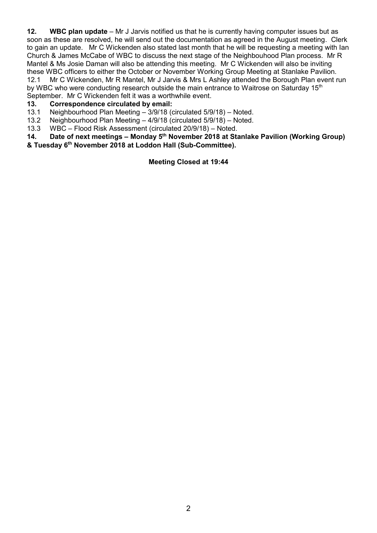**12. WBC plan update** – Mr J Jarvis notified us that he is currently having computer issues but as soon as these are resolved, he will send out the documentation as agreed in the August meeting. Clerk to gain an update. Mr C Wickenden also stated last month that he will be requesting a meeting with Ian Church & James McCabe of WBC to discuss the next stage of the Neighbouhood Plan process. Mr R Mantel & Ms Josie Daman will also be attending this meeting. Mr C Wickenden will also be inviting these WBC officers to either the October or November Working Group Meeting at Stanlake Pavilion. 12.1 Mr C Wickenden, Mr R Mantel, Mr J Jarvis & Mrs L Ashley attended the Borough Plan event run by WBC who were conducting research outside the main entrance to Waitrose on Saturday 15<sup>th</sup>

September. Mr C Wickenden felt it was a worthwhile event.

#### **13. Correspondence circulated by email:**

- 13.1 Neighbourhood Plan Meeting 3/9/18 (circulated 5/9/18) Noted.
- 13.2 Neighbourhood Plan Meeting 4/9/18 (circulated 5/9/18) Noted.
- 13.3 WBC Flood Risk Assessment (circulated 20/9/18) Noted.

**14. Date of next meetings – Monday 5 th November 2018 at Stanlake Pavilion (Working Group) & Tuesday 6 th November 2018 at Loddon Hall (Sub-Committee).**

**Meeting Closed at 19:44**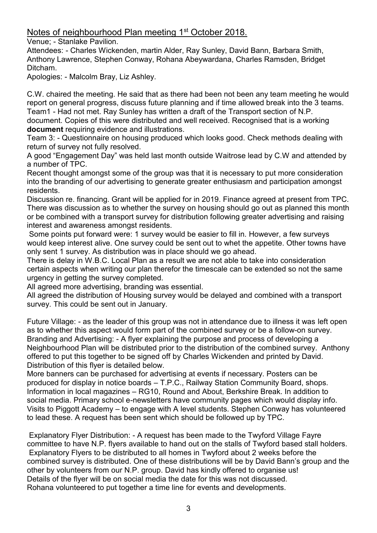# Notes of neighbourhood Plan meeting 1<sup>st</sup> October 2018.

Venue; - Stanlake Pavilion.

Attendees: - Charles Wickenden, martin Alder, Ray Sunley, David Bann, Barbara Smith, Anthony Lawrence, Stephen Conway, Rohana Abeywardana, Charles Ramsden, Bridget Ditcham.

Apologies: - Malcolm Bray, Liz Ashley.

C.W. chaired the meeting. He said that as there had been not been any team meeting he would report on general progress, discuss future planning and if time allowed break into the 3 teams. Team1 - Had not met. Ray Sunley has written a draft of the Transport section of N.P. document. Copies of this were distributed and well received. Recognised that is a working **document** requiring evidence and illustrations.

Team 3: - Questionnaire on housing produced which looks good. Check methods dealing with return of survey not fully resolved.

A good "Engagement Day" was held last month outside Waitrose lead by C.W and attended by a number of TPC.

Recent thought amongst some of the group was that it is necessary to put more consideration into the branding of our advertising to generate greater enthusiasm and participation amongst residents.

Discussion re. financing. Grant will be applied for in 2019. Finance agreed at present from TPC. There was discussion as to whether the survey on housing should go out as planned this month or be combined with a transport survey for distribution following greater advertising and raising interest and awareness amongst residents.

Some points put forward were: 1 survey would be easier to fill in. However, a few surveys would keep interest alive. One survey could be sent out to whet the appetite. Other towns have only sent 1 survey. As distribution was in place should we go ahead.

There is delay in W.B.C. Local Plan as a result we are not able to take into consideration certain aspects when writing our plan therefor the timescale can be extended so not the same urgency in getting the survey completed.

All agreed more advertising, branding was essential.

All agreed the distribution of Housing survey would be delayed and combined with a transport survey. This could be sent out in January.

Future Village: - as the leader of this group was not in attendance due to illness it was left open as to whether this aspect would form part of the combined survey or be a follow-on survey. Branding and Advertising: - A flyer explaining the purpose and process of developing a Neighbourhood Plan will be distributed prior to the distribution of the combined survey. Anthony offered to put this together to be signed off by Charles Wickenden and printed by David. Distribution of this flyer is detailed below.

More banners can be purchased for advertising at events if necessary. Posters can be produced for display in notice boards – T.P.C., Railway Station Community Board, shops. Information in local magazines – RG10, Round and About, Berkshire Break. In addition to social media. Primary school e-newsletters have community pages which would display info. Visits to Piggott Academy – to engage with A level students. Stephen Conway has volunteered to lead these. A request has been sent which should be followed up by TPC.

Explanatory Flyer Distribution: - A request has been made to the Twyford Village Fayre committee to have N.P. flyers available to hand out on the stalls of Twyford based stall holders. Explanatory Flyers to be distributed to all homes in Twyford about 2 weeks before the combined survey is distributed. One of these distributions will be by David Bann's group and the other by volunteers from our N.P. group. David has kindly offered to organise us! Details of the flyer will be on social media the date for this was not discussed. Rohana volunteered to put together a time line for events and developments.